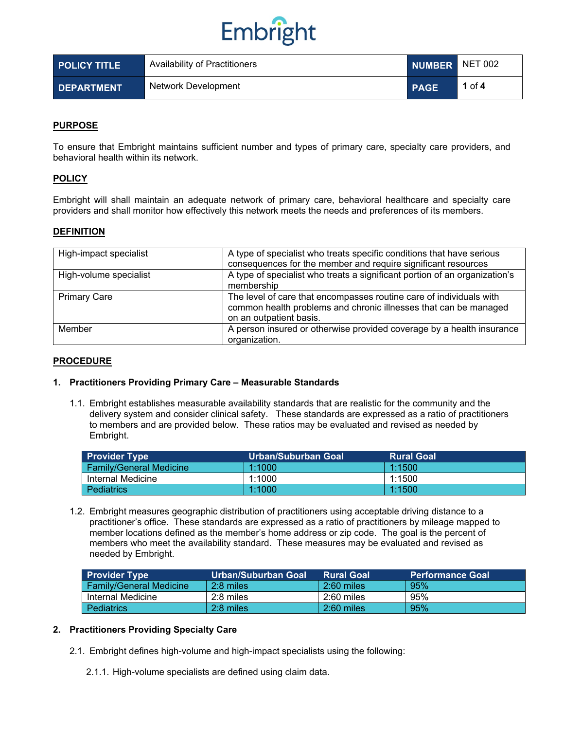

| <b>POLICY TITLE</b> | Availability of Practitioners | NUMBER NET 002 |        |
|---------------------|-------------------------------|----------------|--------|
| <b>DEPARTMENT</b>   | Network Development           | <b>PAGE</b>    | 1 of 4 |

## **PURPOSE**

To ensure that Embright maintains sufficient number and types of primary care, specialty care providers, and behavioral health within its network.

### **POLICY**

Embright will shall maintain an adequate network of primary care, behavioral healthcare and specialty care providers and shall monitor how effectively this network meets the needs and preferences of its members.

### **DEFINITION**

| High-impact specialist | A type of specialist who treats specific conditions that have serious<br>consequences for the member and require significant resources                             |
|------------------------|--------------------------------------------------------------------------------------------------------------------------------------------------------------------|
| High-volume specialist | A type of specialist who treats a significant portion of an organization's<br>membership                                                                           |
| <b>Primary Care</b>    | The level of care that encompasses routine care of individuals with<br>common health problems and chronic illnesses that can be managed<br>on an outpatient basis. |
| Member                 | A person insured or otherwise provided coverage by a health insurance<br>organization.                                                                             |

#### **PROCEDURE**

### **1. Practitioners Providing Primary Care – Measurable Standards**

1.1. Embright establishes measurable availability standards that are realistic for the community and the delivery system and consider clinical safety. These standards are expressed as a ratio of practitioners to members and are provided below. These ratios may be evaluated and revised as needed by Embright.

| <b>Provider Type</b>           | Urban/Suburban Goal | <b>Rural Goal</b> |
|--------------------------------|---------------------|-------------------|
| <b>Family/General Medicine</b> | 1:1000              | 1:1500            |
| Internal Medicine              | 1:1000              | 1:1500            |
| <b>Pediatrics</b>              | 1:1000              | 1:1500            |

1.2. Embright measures geographic distribution of practitioners using acceptable driving distance to a practitioner's office. These standards are expressed as a ratio of practitioners by mileage mapped to member locations defined as the member's home address or zip code. The goal is the percent of members who meet the availability standard. These measures may be evaluated and revised as needed by Embright.

| <b>Provider Type</b>           | Urban/Suburban Goal | <b>Rural Goal</b> | <b>Performance Goal</b> |
|--------------------------------|---------------------|-------------------|-------------------------|
| <b>Family/General Medicine</b> | 2:8 miles           | $2:60$ miles      | 95%                     |
| Internal Medicine              | 2:8 miles           | $2:60$ miles      | 95%                     |
| <b>Pediatrics</b>              | 2:8 miles           | $2:60$ miles      | 95%                     |

### **2. Practitioners Providing Specialty Care**

- 2.1. Embright defines high-volume and high-impact specialists using the following:
	- 2.1.1. High-volume specialists are defined using claim data.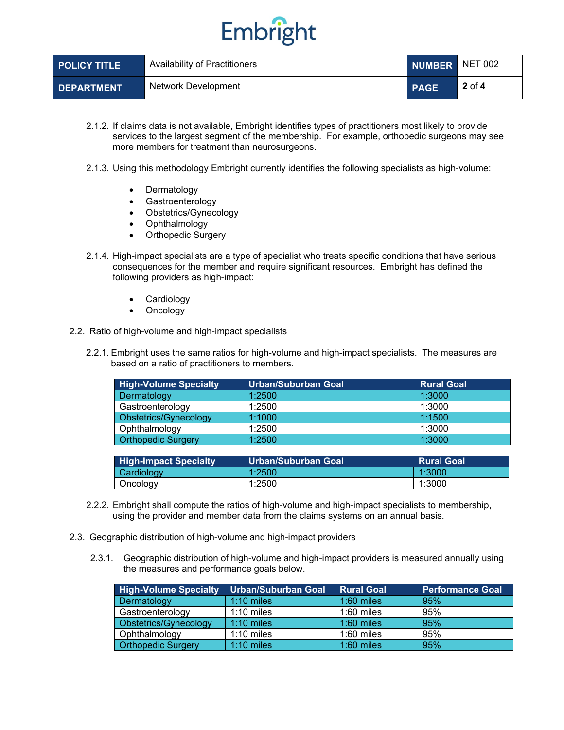## Embright

| <b>POLICY TITLE</b> | Availability of Practitioners | NUMBER NET 002 |                                |
|---------------------|-------------------------------|----------------|--------------------------------|
| <b>DEPARTMENT</b>   | Network Development           | <b>PAGE</b>    | $^{\prime}$ 2 of 4 $^{\prime}$ |

- 2.1.2. If claims data is not available, Embright identifies types of practitioners most likely to provide services to the largest segment of the membership. For example, orthopedic surgeons may see more members for treatment than neurosurgeons.
- 2.1.3. Using this methodology Embright currently identifies the following specialists as high-volume:
	- **Dermatology**
	- Gastroenterology
	- Obstetrics/Gynecology
	- Ophthalmology
	- Orthopedic Surgery
- 2.1.4. High-impact specialists are a type of specialist who treats specific conditions that have serious consequences for the member and require significant resources. Embright has defined the following providers as high-impact:
	- **Cardiology**
	- **Oncology**
- 2.2. Ratio of high-volume and high-impact specialists
	- 2.2.1. Embright uses the same ratios for high-volume and high-impact specialists. The measures are based on a ratio of practitioners to members.

| <b>High-Volume Specialty</b> | <b>Urban/Suburban Goal</b> | <b>Rural Goal</b> |
|------------------------------|----------------------------|-------------------|
| Dermatology                  | 1:2500                     | 1:3000            |
| Gastroenterology             | 1:2500                     | 1:3000            |
| Obstetrics/Gynecology        | 1:1000                     | 1:1500            |
| Ophthalmology                | 1:2500                     | 1:3000            |
| <b>Orthopedic Surgery</b>    | 1:2500                     | 1:3000            |

| <b>High-Impact Specialty</b> | Urban/Suburban Goal | <b>Rural Goal</b> |
|------------------------------|---------------------|-------------------|
| Cardiology                   | 1:2500              | 1:3000            |
| Oncology                     | 1:2500              | 1:3000            |

- 2.2.2. Embright shall compute the ratios of high-volume and high-impact specialists to membership, using the provider and member data from the claims systems on an annual basis.
- 2.3. Geographic distribution of high-volume and high-impact providers
	- 2.3.1. Geographic distribution of high-volume and high-impact providers is measured annually using the measures and performance goals below.

| <b>High-Volume Specialty</b> | <b>Urban/Suburban Goal</b> | <b>Rural Goal</b> | <b>Performance Goal</b> |
|------------------------------|----------------------------|-------------------|-------------------------|
| Dermatology                  | $1:10$ miles               | $1:60$ miles      | 95%                     |
| Gastroenterology             | $1:10 \text{ miles}$       | $1:60$ miles      | 95%                     |
| Obstetrics/Gynecology        | $1:10$ miles               | $1:60$ miles      | 95%                     |
| Ophthalmology                | $1:10$ miles               | $1:60$ miles      | 95%                     |
| <b>Orthopedic Surgery</b>    | $1:10$ miles               | $1:60$ miles      | 95%                     |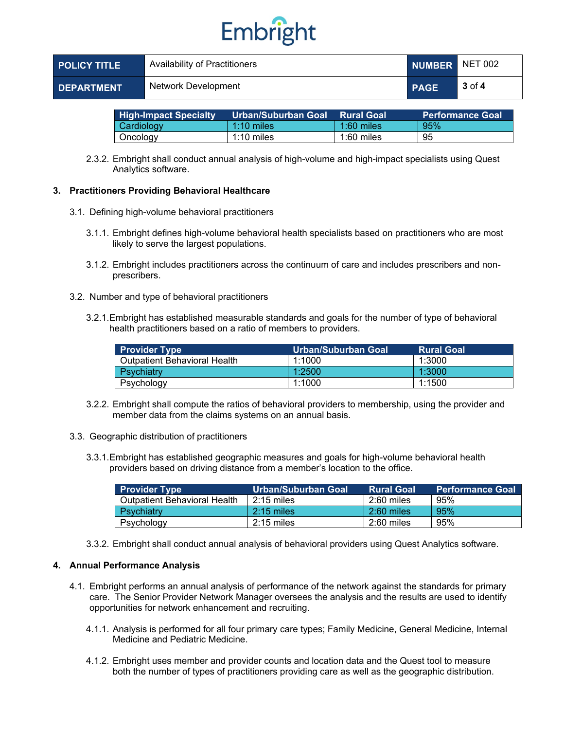## Embright

| <b>POLICY TITLE</b> | Availability of Practitioners | NUMBER NET 002 |            |
|---------------------|-------------------------------|----------------|------------|
| <b>DEPARTMENT</b>   | Network Development           | <b>PAGE</b>    | $3$ of $4$ |

| <b>High-Impact Specialty</b> | ′ Urban/Suburban Goal⊥ | <b>Rural Goal</b> | <b>Performance Goal</b> |
|------------------------------|------------------------|-------------------|-------------------------|
| Cardiology                   | $1:10 \text{ miles}$   | $1:60$ miles      | 95%                     |
| Oncology                     | 1:10 miles             | 1:60 miles        | 95                      |

2.3.2. Embright shall conduct annual analysis of high-volume and high-impact specialists using Quest Analytics software.

### **3. Practitioners Providing Behavioral Healthcare**

- 3.1. Defining high-volume behavioral practitioners
	- 3.1.1. Embright defines high-volume behavioral health specialists based on practitioners who are most likely to serve the largest populations.
	- 3.1.2. Embright includes practitioners across the continuum of care and includes prescribers and nonprescribers.
- 3.2. Number and type of behavioral practitioners
	- 3.2.1.Embright has established measurable standards and goals for the number of type of behavioral health practitioners based on a ratio of members to providers.

| <b>Provider Type</b>           | Urban/Suburban Goal | <b>Rural Goal</b> |
|--------------------------------|---------------------|-------------------|
| l Outpatient Behavioral Health | 1:1000              | 1:3000            |
| Psychiatry                     | 1:2500              | 1:3000            |
| Psychology                     | 1:1000              | 1:1500            |

- 3.2.2. Embright shall compute the ratios of behavioral providers to membership, using the provider and member data from the claims systems on an annual basis.
- 3.3. Geographic distribution of practitioners
	- 3.3.1.Embright has established geographic measures and goals for high-volume behavioral health providers based on driving distance from a member's location to the office.

| <b>Provider Type</b>         | Urban/Suburban Goal | <b>Rural Goal</b> | <b>Performance Goal</b> |
|------------------------------|---------------------|-------------------|-------------------------|
| Outpatient Behavioral Health | $2:15$ miles        | $2:60$ miles      | 95%                     |
| Psychiatry                   | $2:15$ miles        | $2:60$ miles      | 95%                     |
| Psychology                   | $2:15$ miles        | $2:60$ miles      | 95%                     |

3.3.2. Embright shall conduct annual analysis of behavioral providers using Quest Analytics software.

## **4. Annual Performance Analysis**

- 4.1. Embright performs an annual analysis of performance of the network against the standards for primary care. The Senior Provider Network Manager oversees the analysis and the results are used to identify opportunities for network enhancement and recruiting.
	- 4.1.1. Analysis is performed for all four primary care types; Family Medicine, General Medicine, Internal Medicine and Pediatric Medicine.
	- 4.1.2. Embright uses member and provider counts and location data and the Quest tool to measure both the number of types of practitioners providing care as well as the geographic distribution.